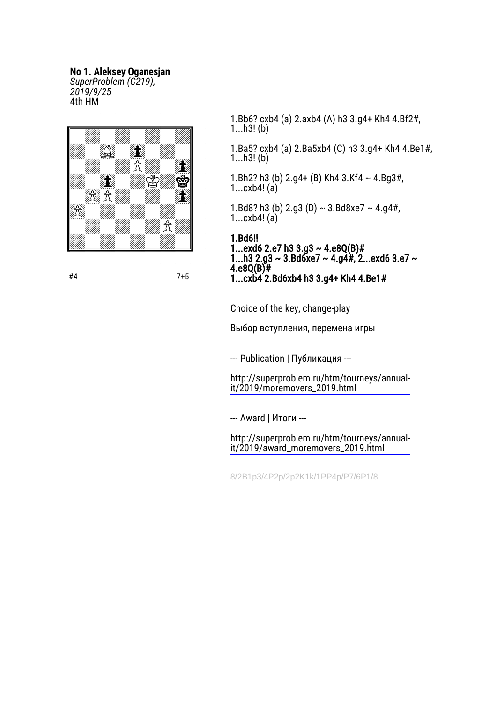## **No 1. Aleksey Oganesjan**

*SuperProblem (C219), 2019/9/25* 4th HM



1...h3! (b) 1.Ba5? cxb4 (a) 2.Ba5xb4 (C) h3 3.g4+ Kh4 4.Be1#,

1.Bb6? cxb4 (a) 2.axb4 (A) h3 3.g4+ Kh4 4.Bf2#,

- 1.Bh2? h3 (b)  $2.q4+$  (B) Kh4 3.Kf4 ~ 4.Bg3#, 1... $cxb4!$  (a)
- 1.Bd8? h3 (b)  $2.q3$  (D)  $\sim$  3.Bd8xe7  $\sim$  4.g4#, 1...cxb4! (a)

1.Bd6!! 1...exd6 2.e7 h3 3.g3  $\sim$  4.e8Q(B)# 1...h3 2.g3 ~ 3.Bd6xe7 ~ 4.g4#, 2...exd6 3.e7 ~ 4.e8 $Q(B)$ # 1...cxb4 2.Bd6xb4 h3 3.g4+ Kh4 4.Be1#

Choice of the key, change-play

Выбор вступления, перемена игры

--- Publication | Публикация ---

[http://superproblem.ru/htm/tourneys/annual](http://superproblem.ru/htm/tourneys/annual-it/2019/moremovers_2019.html)it/2019/moremovers\_2019.html

--- Award | Итоги ---

1...h3! (b)

[http://superproblem.ru/htm/tourneys/annual](http://superproblem.ru/htm/tourneys/annual-it/2019/award_moremovers_2019.html)it/2019/award\_moremovers\_2019.html

8/2B1p3/4P2p/2p2K1k/1PP4p/P7/6P1/8

#4 7+5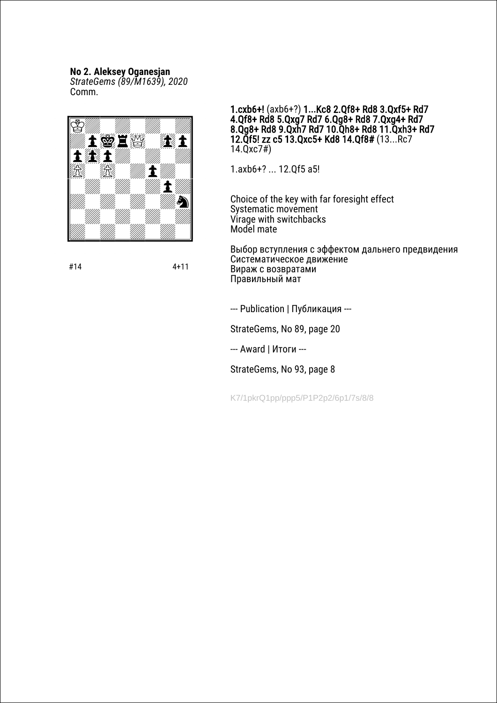#### **No 2. Aleksey Oganesjan**

*StrateGems (89/M1639), 2020* Сomm.



1.cxb6+! (axb6+?) 1**...**Kc8 2.Qf8+ Rd8 3.Qxf5+ Rd7 4.Qf8+ Rd8 5.Qxg7 Rd7 6.Qg8+ Rd8 7.Qxg4+ Rd7 8.Qg8+ Rd8 9.Qxh7 Rd7 10.Qh8+ Rd8 11.Qxh3+ Rd7 12.Qf5! zz с5 13.Qxc5+ Kd8 14.Qf8# (13...Rc7 14.Qxc7#)

1.axb6+? ... 12.Qf5 a5!

Choice of the key with far foresight effect Systematic movement Virage with switchbacks Model mate

Выбор вступления с эффектом дальнего предвидения Систематическое движение Вираж с возвратами Правильный мат

--- Publication | Публикация ---

StrateGems, No 89, page 20

--- Award | Итоги ---

StrateGems, No 93, page 8

K7/1pkrQ1pp/ppp5/P1P2p2/6p1/7s/8/8

#14 4+11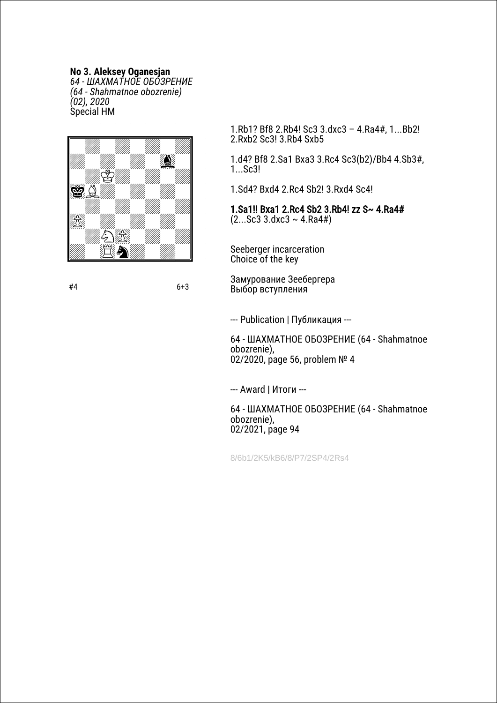**No 3. Aleksey Oganesjan** *64 - ШАХМАТНОЕ ОБОЗРЕНИЕ (64 - Shahmatnoe obozrenie) (02), 2020* Special HM



1.Rb1? Bf8 2.Rb4! Sc3 3.dxc3 – 4.Ra4#, 1...Bb2! 2.Rxb2 Sc3! 3.Rb4 Sxb5

1.d4? Bf8 2.Sa1 Bxa3 3.Rc4 Sc3(b2)/Bb4 4.Sb3#, 1...Sc3!

1.Sd4? Bxd4 2.Rc4 Sb2! 3.Rxd4 Sc4!

1.Sa1!! Bxa1 2.Rc4 Sb2 3.Rb4! zz S~ 4.Ra4#  $(2...Sc3 \, 3.dxc3 \sim 4.Ra4\#)$ 

Seeberger incarceration Choice of the key

Замурование Зеебергера Выбор вступления

--- Publication | Публикация ---

64 - ШАХМАТНОЕ ОБОЗРЕНИЕ (64 - Shahmatnoe obozrenie), 02/2020, page 56, problem № 4

--- Award | Итоги ---

64 - ШАХМАТНОЕ ОБОЗРЕНИЕ (64 - Shahmatnoe obozrenie), 02/2021, page 94

8/6b1/2K5/kB6/8/P7/2SP4/2Rs4

#4 6+3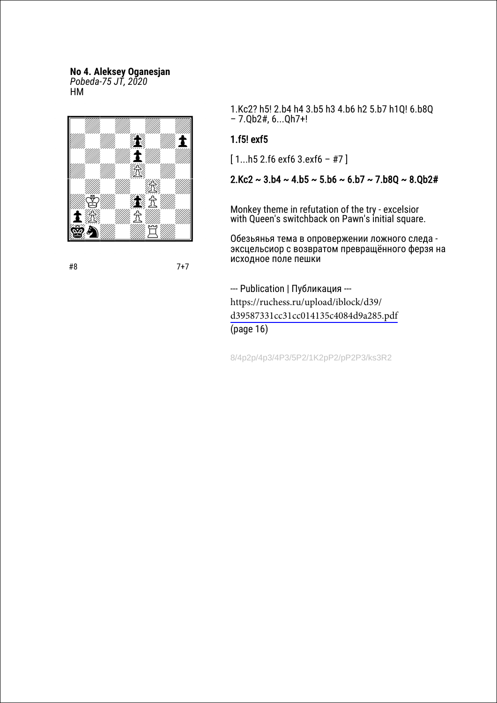# **No 4. Aleksey Oganesjan**

*Pobeda-75 JT, 2020* HM



1.Kc2? h5! 2.b4 h4 3.b5 h3 4.b6 h2 5.b7 h1Q! 6.b8Q – 7.Qb2#, 6...Qh7+!

## 1.f5! exf5

 $[1...h5 2.6 e$  exf6 3.exf6 - #7]

 $2.Kc2 \sim 3.b4 \sim 4.b5 \sim 5.b6 \sim 6.b7 \sim 7.b80 \sim 8.0b2#$ 

Monkey theme in refutation of the try - excelsior with Queen's switchback on Pawn's initial square.

Обезьянья тема в опровержении ложного следа эксцельсиор с возвратом превращённого ферзя на исходное поле пешки

--- Publication | Публикация -- https://ruchess.ru/upload/iblock/d39/ [d39587331cc31cc014135c4084d9a285.pdf](https://ruchess.ru/upload/iblock/d39/d39587331cc31cc014135c4084d9a285.pdf) (page 16)

8/4p2p/4p3/4P3/5P2/1K2pP2/pP2P3/ks3R2

#8 7+7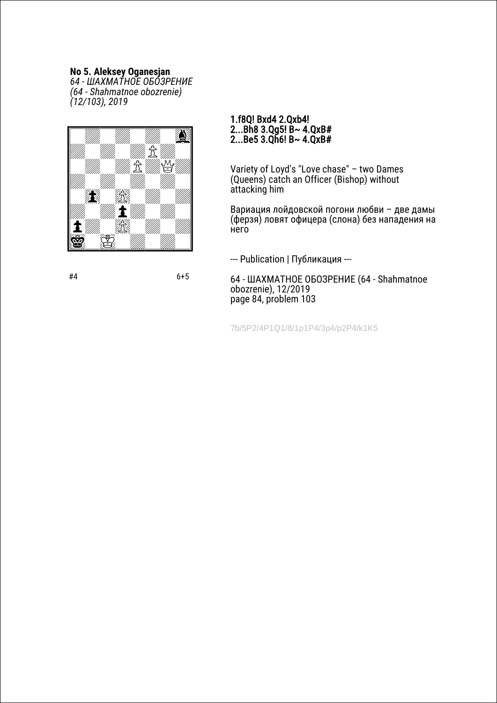### **No 5. Aleksey Oganesjan**

*64 - ШАХМАТНОЕ ОБОЗРЕНИЕ (64 - Shahmatnoe obozrenie) (12/103), 2019*



#### 1.f8Q! Bxd4 2.Qxb4! 2...Bh8 3.Qg5! B~ 4.QxB# 2...Be5 3.Qh6! B~  $4.QxB#$

Variety of Loyd's "Love chase" – two Dames (Queens) catch an Officer (Bishop) without attacking him

Вариация лойдовской погони любви – две дамы (ферзя) ловят офицера (слона) без нападения на него

--- Publication | Публикация ---

64 - ШАХМАТНОЕ ОБОЗРЕНИЕ (64 - Shahmatnoe obozrenie), 12/2019 page 84, problem 103

7b/5P2/4P1Q1/8/1p1P4/3p4/p2P4/k1K5